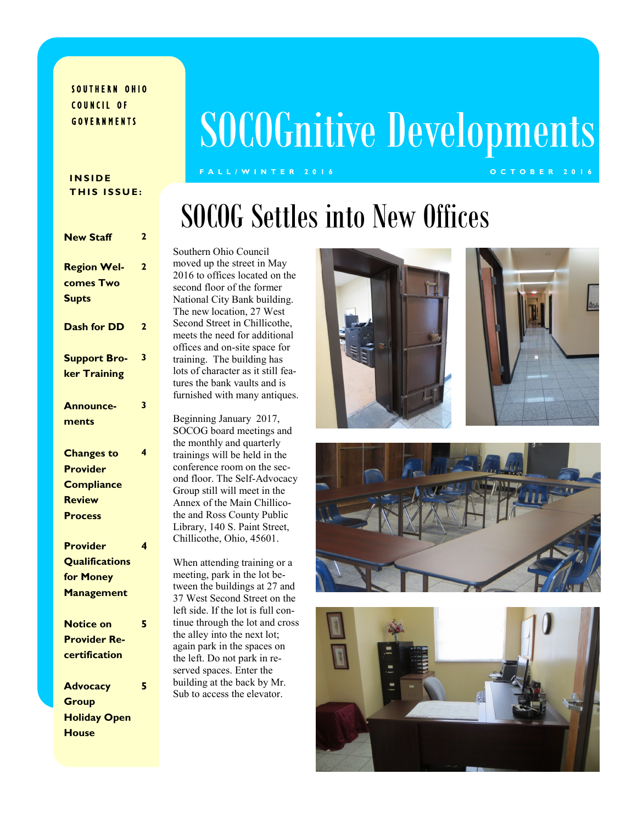### SOUTHERN OHIO COUNCIL OF G O V E R N M E N T S

# SOCOGnitive Developments

**F A L L / W I N T E R 2 0 1 6 O C T O B E R 2 0 1 6**

#### **I N S I D E THIS ISSUE:**

| <b>New Staff</b>      | $\overline{2}$ |
|-----------------------|----------------|
| <b>Region Wel-</b>    | $\overline{2}$ |
| comes Two             |                |
| <b>Supts</b>          |                |
| <b>Dash for DD</b>    | $\overline{2}$ |
| <b>Support Bro-</b>   | 3              |
| ker Training          |                |
| <b>Announce-</b>      | 3              |
| ments                 |                |
| <b>Changes to</b>     | 4              |
| <b>Provider</b>       |                |
| <b>Compliance</b>     |                |
| <b>Review</b>         |                |
| <b>Process</b>        |                |
| <b>Provider</b>       | 4              |
| <b>Qualifications</b> |                |
| for Money             |                |
| <b>Management</b>     |                |
| <b>Notice on</b>      | 5              |
| <b>Provider Re-</b>   |                |
| certification         |                |
| <b>Advocacy</b>       | 5              |
| <b>Group</b>          |                |
| <b>Holiday Open</b>   |                |
| <b>House</b>          |                |

## SOCOG Settles into New Offices

Southern Ohio Council moved up the street in May 2016 to offices located on the second floor of the former National City Bank building. The new location, 27 West Second Street in Chillicothe, meets the need for additional offices and on-site space for training. The building has lots of character as it still features the bank vaults and is furnished with many antiques.

Beginning January 2017, SOCOG board meetings and the monthly and quarterly trainings will be held in the conference room on the second floor. The Self-Advocacy Group still will meet in the Annex of the Main Chillicothe and Ross County Public Library, 140 S. Paint Street, Chillicothe, Ohio, 45601.

When attending training or a meeting, park in the lot between the buildings at 27 and 37 West Second Street on the left side. If the lot is full continue through the lot and cross the alley into the next lot; again park in the spaces on the left. Do not park in reserved spaces. Enter the building at the back by Mr. Sub to access the elevator.







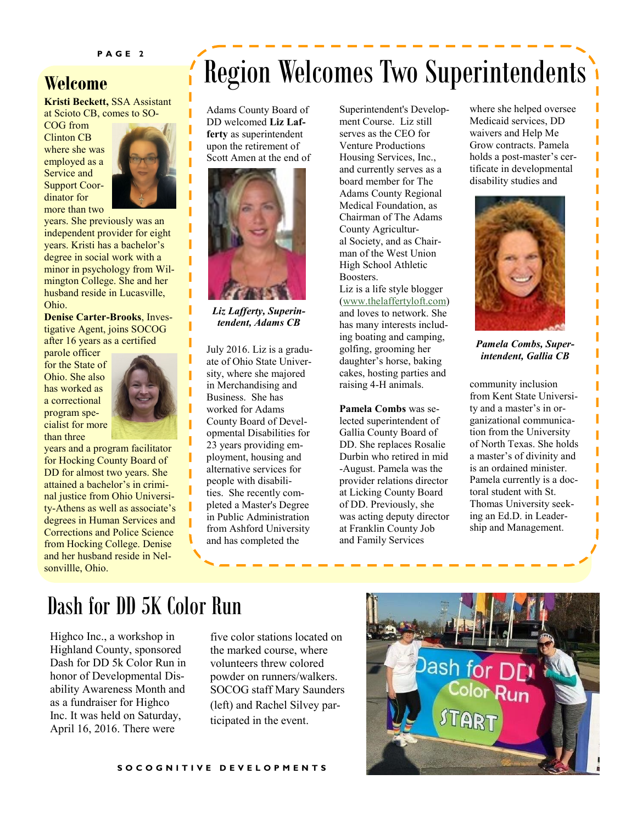### **Welcome**

**Kristi Beckett,** SSA Assistant at Scioto CB, comes to SO-

COG from Clinton CB where she was employed as a Service and Support Coordinator for more than two



Ī Ī ı Ï I I I ı

I

I

years. She previously was an independent provider for eight years. Kristi has a bachelor's degree in social work with a minor in psychology from Wilmington College. She and her husband reside in Lucasville, Ohio.

**Denise Carter-Brooks**, Investigative Agent, joins SOCOG after 16 years as a certified

parole officer for the State of Ohio. She also has worked as a correctional program specialist for more than three



years and a program facilitator for Hocking County Board of DD for almost two years. She attained a bachelor's in criminal justice from Ohio University-Athens as well as associate's degrees in Human Services and Corrections and Police Science from Hocking College. Denise and her husband reside in Nelsonvillle, Ohio.

## Region Welcomes Two Superintendents

Adams County Board of DD welcomed **Liz Lafferty** as superintendent upon the retirement of Scott Amen at the end of



*Liz Lafferty, Superintendent, Adams CB*

July 2016. Liz is a graduate of Ohio State University, where she majored in Merchandising and Business. She has worked for Adams County Board of Developmental Disabilities for 23 years providing employment, housing and alternative services for people with disabilities. She recently completed a Master's Degree in Public Administration from Ashford University and has completed the

Superintendent's Development Course. Liz still serves as the CEO for Venture Productions Housing Services, Inc., and currently serves as a board member for The Adams County Regional Medical Foundation, as Chairman of The Adams County Agricultural Society, and as Chairman of the West Union High School Athletic Boosters.

Liz is a life style blogger ([www.thelaffertyloft.com\)](http://www.thelaffertyloft.com) and loves to network. She has many interests including boating and camping, golfing, grooming her daughter's horse, baking cakes, hosting parties and raising 4-H animals.

**Pamela Combs** was selected superintendent of Gallia County Board of DD. She replaces Rosalie Durbin who retired in mid -August. Pamela was the provider relations director at Licking County Board of DD. Previously, she was acting deputy director at Franklin County Job and Family Services

where she helped oversee Medicaid services, DD waivers and Help Me Grow contracts. Pamela holds a post-master's certificate in developmental disability studies and



*Pamela Combs, Superintendent, Gallia CB*

community inclusion from Kent State University and a master's in organizational communication from the University of North Texas. She holds a master's of divinity and is an ordained minister. Pamela currently is a doctoral student with St. Thomas University seeking an Ed.D. in Leadership and Management.

### Dash for DD 5K Color Run

Highco Inc., a workshop in Highland County, sponsored Dash for DD 5k Color Run in honor of Developmental Disability Awareness Month and as a fundraiser for Highco Inc. It was held on Saturday, April 16, 2016. There were

five color stations located on the marked course, where volunteers threw colored powder on runners/walkers. SOCOG staff Mary Saunders (left) and Rachel Silvey participated in the event.

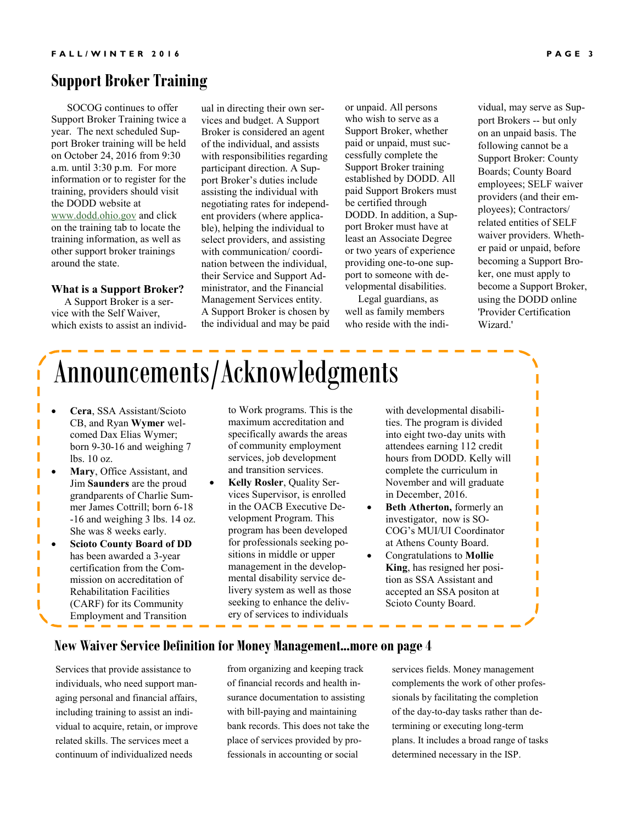### **Support Broker Training**

 SOCOG continues to offer Support Broker Training twice a year. The next scheduled Support Broker training will be held on October 24, 2016 from 9:30 a.m. until 3:30 p.m. For more information or to register for the training, providers should visit the DODD website at [www.dodd.ohio.gov](http://www.dodd.ohio.gov) and click on the training tab to locate the training information, as well as other support broker trainings around the state.

#### **What is a Support Broker?**

 A Support Broker is a service with the Self Waiver, which exists to assist an individual in directing their own services and budget. A Support Broker is considered an agent of the individual, and assists with responsibilities regarding participant direction. A Support Broker's duties include assisting the individual with negotiating rates for independent providers (where applicable), helping the individual to select providers, and assisting with communication/ coordination between the individual, their Service and Support Administrator, and the Financial Management Services entity. A Support Broker is chosen by the individual and may be paid

or unpaid. All persons who wish to serve as a Support Broker, whether paid or unpaid, must successfully complete the Support Broker training established by DODD. All paid Support Brokers must be certified through DODD. In addition, a Support Broker must have at least an Associate Degree or two years of experience providing one-to-one support to someone with developmental disabilities.

 Legal guardians, as well as family members who reside with the individual, may serve as Support Brokers -- but only on an unpaid basis. The following cannot be a Support Broker: County Boards; County Board employees; SELF waiver providers (and their employees); Contractors/ related entities of SELF waiver providers. Whether paid or unpaid, before becoming a Support Broker, one must apply to become a Support Broker, using the DODD online 'Provider Certification Wizard.'

> I I

> > Ī

## Announcements/Acknowledgments

- **Cera**, SSA Assistant/Scioto CB, and Ryan **Wymer** welcomed Dax Elias Wymer; born 9-30-16 and weighing 7 lbs. 10 oz.
- **Mary**, Office Assistant, and Jim **Saunders** are the proud grandparents of Charlie Summer James Cottrill; born 6-18 -16 and weighing 3 lbs. 14 oz. She was 8 weeks early.
- **Scioto County Board of DD**  has been awarded a 3-year certification from the Commission on accreditation of Rehabilitation Facilities (CARF) for its Community Employment and Transition

to Work programs. This is the maximum accreditation and specifically awards the areas of community employment services, job development and transition services.

 **Kelly Rosler**, Quality Services Supervisor, is enrolled in the OACB Executive Development Program. This program has been developed for professionals seeking positions in middle or upper management in the developmental disability service delivery system as well as those seeking to enhance the delivery of services to individuals

with developmental disabilities. The program is divided into eight two-day units with attendees earning 112 credit hours from DODD. Kelly will complete the curriculum in November and will graduate in December, 2016.

- **Beth Atherton,** formerly an investigator, now is SO-COG's MUI/UI Coordinator at Athens County Board.
- Congratulations to **Mollie King**, has resigned her position as SSA Assistant and accepted an SSA positon at Scioto County Board.

#### **New Waiver Service Definition for Money Management...more on page 4**

Services that provide assistance to individuals, who need support managing personal and financial affairs, including training to assist an individual to acquire, retain, or improve related skills. The services meet a continuum of individualized needs

from organizing and keeping track of financial records and health insurance documentation to assisting with bill-paying and maintaining bank records. This does not take the place of services provided by professionals in accounting or social

services fields. Money management complements the work of other professionals by facilitating the completion of the day-to-day tasks rather than determining or executing long-term plans. It includes a broad range of tasks determined necessary in the ISP.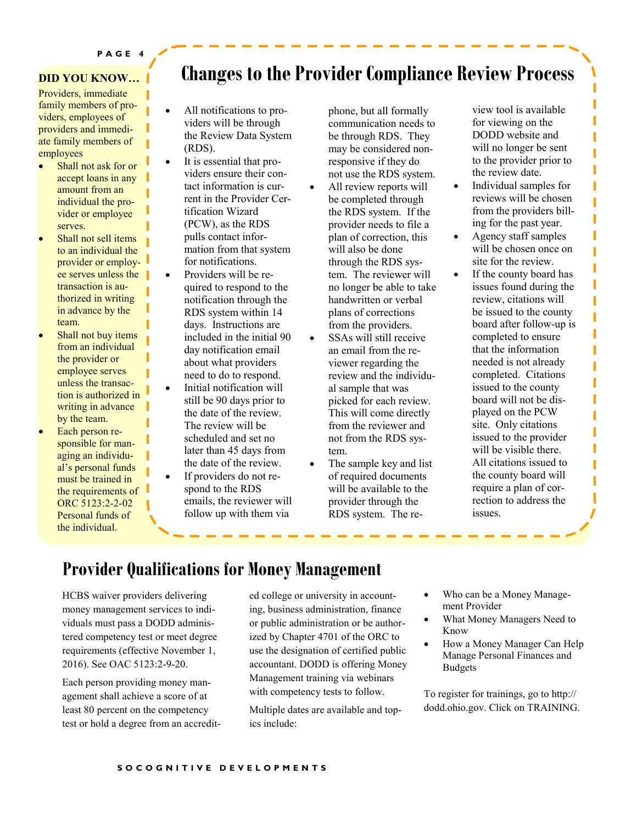#### **DID YOU KNOW…**

Providers, immediate family members of providers, employees of providers and immediate family members of employees

- Shall not ask for or accept loans in any amount from an individual the provider or employee serves.
- Shall not sell items to an individual the provider or employee serves unless the transaction is authorized in writing in advance by the team.
- Shall not buy items from an individual the provider or employee serves unless the transaction is authorized in writing in advance by the team.
- Each person responsible for managing an individual's personal funds must be trained in the requirements of ORC 5123:2-2-02 Personal funds of the individual.

### **Changes to the Provider Compliance Review Process**

- All notifications to providers will be through the Review Data System (RDS).
- It is essential that providers ensure their contact information is current in the Provider Certification Wizard (PCW), as the RDS pulls contact information from that system for notifications.
- Providers will be required to respond to the notification through the RDS system within 14 days. Instructions are included in the initial 90 day notification email about what providers need to do to respond.
- Initial notification will still be 90 days prior to the date of the review. The review will be scheduled and set no later than 45 days from the date of the review.
- If providers do not respond to the RDS emails, the reviewer will follow up with them via

phone, but all formally communication needs to be through RDS. They may be considered nonresponsive if they do not use the RDS system.

- All review reports will be completed through the RDS system. If the provider needs to file a plan of correction, this will also be done through the RDS system. The reviewer will no longer be able to take handwritten or verbal plans of corrections from the providers.
- SSAs will still receive an email from the reviewer regarding the review and the individual sample that was picked for each review. This will come directly from the reviewer and not from the RDS system.
- The sample key and list of required documents will be available to the provider through the RDS system. The re-

view tool is available for viewing on the DODD website and will no longer be sent to the provider prior to the review date.

Π

Ī

Ī

Π

- Individual samples for reviews will be chosen from the providers billing for the past year.
- Agency staff samples will be chosen once on site for the review.
- If the county board has issues found during the review, citations will be issued to the county board after follow-up is completed to ensure that the information needed is not already completed. Citations issued to the county board will not be displayed on the PCW site. Only citations issued to the provider will be visible there. All citations issued to the county board will require a plan of correction to address the issues.

### **Provider Qualifications for Money Management**

HCBS waiver providers delivering money management services to individuals must pass a DODD administered competency test or meet degree requirements (effective November 1, 2016). See OAC 5123:2-9-20.

Each person providing money management shall achieve a score of at least 80 percent on the competency test or hold a degree from an accredited college or university in accounting, business administration, finance or public administration or be authorized by Chapter 4701 of the ORC to use the designation of certified public accountant. DODD is offering Money Management training via webinars with competency tests to follow.

Multiple dates are available and topics include:

- Who can be a Money Management Provider
- What Money Managers Need to Know
- How a Money Manager Can Help Manage Personal Finances and Budgets

To register for trainings, go to http:// dodd.ohio.gov. Click on TRAINING.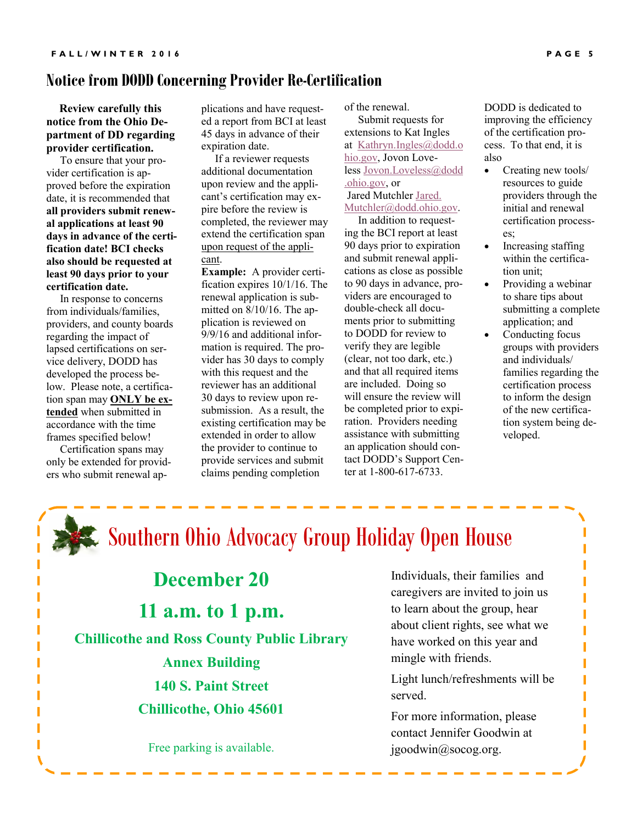### **Notice from DODD Concerning Provider Re-Certification**

 **Review carefully this notice from the Ohio Department of DD regarding provider certification.** 

 To ensure that your provider certification is approved before the expiration date, it is recommended that **all providers submit renewal applications at least 90 days in advance of the certification date! BCI checks also should be requested at least 90 days prior to your certification date.**

 In response to concerns from individuals/families, providers, and county boards regarding the impact of lapsed certifications on service delivery, DODD has developed the process below. Please note, a certification span may **ONLY be extended** when submitted in accordance with the time frames specified below!

 Certification spans may only be extended for providers who submit renewal ap-

plications and have requested a report from BCI at least 45 days in advance of their expiration date.

 If a reviewer requests additional documentation upon review and the applicant's certification may expire before the review is completed, the reviewer may extend the certification span upon request of the applicant.

**Example:** A provider certification expires 10/1/16. The renewal application is submitted on 8/10/16. The application is reviewed on 9/9/16 and additional information is required. The provider has 30 days to comply with this request and the reviewer has an additional 30 days to review upon resubmission. As a result, the existing certification may be extended in order to allow the provider to continue to provide services and submit claims pending completion

of the renewal.

 Submit requests for extensions to Kat Ingles at [Kathryn.Ingles@dodd.o](mailto:Kathryn.Ingles@dodd.ohio.gov) [hio.gov,](mailto:Kathryn.Ingles@dodd.ohio.gov) Jovon Love-less [Jovon.Loveless@dodd](mailto:Jovon.Loveless@dodd.ohio.gov) [.ohio.gov,](mailto:Jovon.Loveless@dodd.ohio.gov) or Jared Mutchler [Jared.](mailto:Jared.Mutchler@dodd.ohio.gov)  [Mutchler@dodd.ohio.gov.](mailto:Jared.Mutchler@dodd.ohio.gov)

 In addition to requesting the BCI report at least 90 days prior to expiration and submit renewal applications as close as possible to 90 days in advance, providers are encouraged to double-check all documents prior to submitting to DODD for review to verify they are legible (clear, not too dark, etc.) and that all required items are included. Doing so will ensure the review will be completed prior to expiration. Providers needing assistance with submitting an application should contact DODD's Support Center at 1-800-617-6733.

DODD is dedicated to improving the efficiency of the certification process. To that end, it is also

- Creating new tools/ resources to guide providers through the initial and renewal certification processes;
- Increasing staffing within the certification unit;
- Providing a webinar to share tips about submitting a complete application; and
- Conducting focus groups with providers and individuals/ families regarding the certification process to inform the design of the new certification system being developed.

Ī Г Π

## Southern Ohio Advocacy Group Holiday Open House

**December 20 11 a.m. to 1 p.m. Chillicothe and Ross County Public Library Annex Building 140 S. Paint Street Chillicothe, Ohio 45601**

Free parking is available.

Individuals, their families and caregivers are invited to join us to learn about the group, hear about client rights, see what we have worked on this year and mingle with friends.

Light lunch/refreshments will be served.

For more information, please contact Jennifer Goodwin at jgoodwin@socog.org.